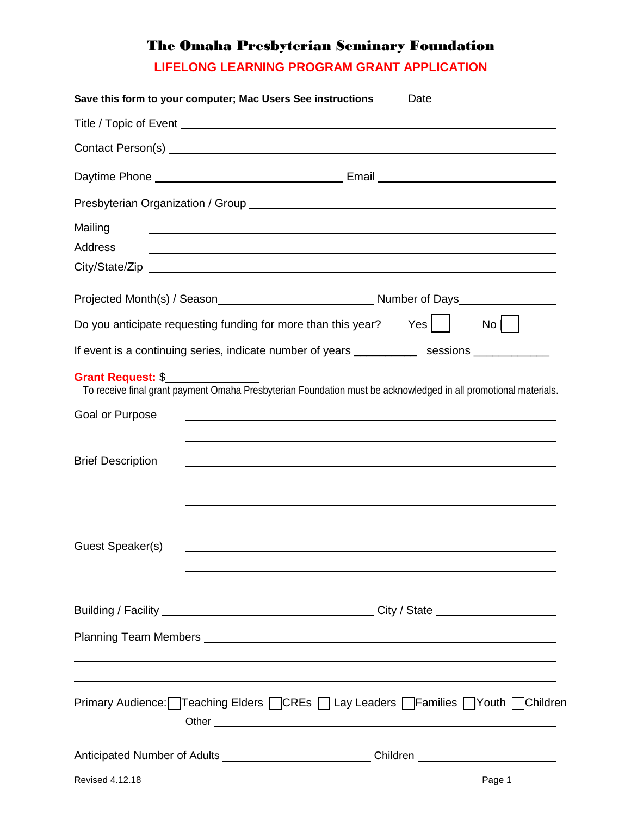## The Omaha Presbyterian Seminary Foundation

**LIFELONG LEARNING PROGRAM GRANT APPLICATION**

|                          | Save this form to your computer; Mac Users See instructions                                                           |                  |
|--------------------------|-----------------------------------------------------------------------------------------------------------------------|------------------|
|                          |                                                                                                                       |                  |
|                          | Contact Person(s) Sales Contact Person(s)                                                                             |                  |
|                          |                                                                                                                       |                  |
|                          |                                                                                                                       |                  |
| Mailing                  |                                                                                                                       |                  |
| <b>Address</b>           |                                                                                                                       |                  |
|                          |                                                                                                                       |                  |
|                          |                                                                                                                       |                  |
|                          | Do you anticipate requesting funding for more than this year? Yes $\vert \hspace{6pt} \vert$                          | $\overline{N_0}$ |
|                          | If event is a continuing series, indicate number of years _____________ sessions _____________                        |                  |
| Grant Request: \$        | To receive final grant payment Omaha Presbyterian Foundation must be acknowledged in all promotional materials.       |                  |
| Goal or Purpose          | <u> 1989 - Johann Stoff, deutscher Stoff als der Stoff als der Stoff als der Stoff als der Stoff als der Stoff al</u> |                  |
| <b>Brief Description</b> | and the control of the control of the control of the control of the control of the control of the control of the      |                  |
| Guest Speaker(s)         |                                                                                                                       |                  |
|                          |                                                                                                                       |                  |
|                          |                                                                                                                       |                  |
|                          |                                                                                                                       |                  |
|                          | Primary Audience: Treaching Elders CCREs DLay Leaders Families DYouth DChildren                                       |                  |
|                          | Anticipated Number of Adults _________________________________Children _____________________________                  |                  |
| Revised 4.12.18          |                                                                                                                       | Page 1           |